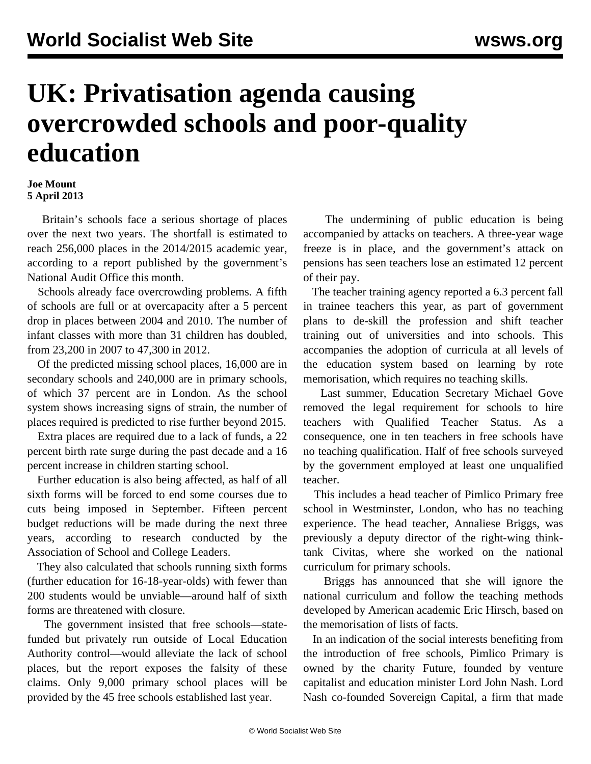## **UK: Privatisation agenda causing overcrowded schools and poor-quality education**

## **Joe Mount 5 April 2013**

 Britain's schools face a serious shortage of places over the next two years. The shortfall is estimated to reach 256,000 places in the 2014/2015 academic year, according to a report published by the government's National Audit Office this month.

 Schools already face overcrowding problems. A fifth of schools are full or at overcapacity after a 5 percent drop in places between 2004 and 2010. The number of infant classes with more than 31 children has doubled, from 23,200 in 2007 to 47,300 in 2012.

 Of the predicted missing school places, 16,000 are in secondary schools and 240,000 are in primary schools, of which 37 percent are in London. As the school system shows increasing signs of strain, the number of places required is predicted to rise further beyond 2015.

 Extra places are required due to a lack of funds, a 22 percent birth rate surge during the past decade and a 16 percent increase in children starting school.

 Further education is also being affected, as half of all sixth forms will be forced to end some courses due to cuts being imposed in September. Fifteen percent budget reductions will be made during the next three years, according to research conducted by the Association of School and College Leaders.

 They also calculated that schools running sixth forms (further education for 16-18-year-olds) with fewer than 200 students would be unviable—around half of sixth forms are threatened with closure.

 The government insisted that free schools—statefunded but privately run outside of Local Education Authority control—would alleviate the lack of school places, but the report exposes the falsity of these claims. Only 9,000 primary school places will be provided by the 45 free schools established last year.

 The undermining of public education is being accompanied by attacks on teachers. A three-year wage freeze is in place, and the government's attack on pensions has seen teachers lose an estimated 12 percent of their pay.

 The teacher training agency reported a 6.3 percent fall in trainee teachers this year, as part of government plans to de-skill the profession and shift teacher training out of universities and into schools. This accompanies the adoption of curricula at all levels of the education system based on learning by rote memorisation, which requires no teaching skills.

 Last summer, Education Secretary Michael Gove removed the legal requirement for schools to hire teachers with Qualified Teacher Status. As a consequence, one in ten teachers in free schools have no teaching qualification. Half of free schools surveyed by the government employed at least one unqualified teacher.

 This includes a head teacher of Pimlico Primary free school in Westminster, London, who has no teaching experience. The head teacher, Annaliese Briggs, was previously a deputy director of the right-wing thinktank Civitas, where she worked on the national curriculum for primary schools.

 Briggs has announced that she will ignore the national curriculum and follow the teaching methods developed by American academic Eric Hirsch, based on the memorisation of lists of facts.

 In an indication of the social interests benefiting from the introduction of free schools, Pimlico Primary is owned by the charity Future, founded by venture capitalist and education minister Lord John Nash. Lord Nash co-founded Sovereign Capital, a firm that made